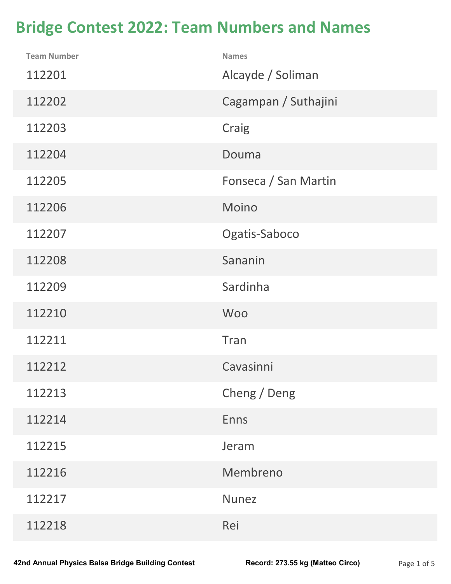## Bridge Contest 2022: Team Numbers and Names

| <b>Bridge Contest 2022: Team Numbers and Names</b> |                                   |             |
|----------------------------------------------------|-----------------------------------|-------------|
| <b>Team Number</b><br>112201                       | <b>Names</b><br>Alcayde / Soliman |             |
| 112202                                             | Cagampan / Suthajini              |             |
| 112203                                             | Craig                             |             |
| 112204                                             | Douma                             |             |
| 112205                                             | Fonseca / San Martin              |             |
| 112206                                             | Moino                             |             |
| 112207                                             | Ogatis-Saboco                     |             |
| 112208                                             | Sananin                           |             |
| 112209                                             | Sardinha                          |             |
| 112210                                             | <b>Woo</b>                        |             |
| 112211                                             | Tran                              |             |
| 112212                                             | Cavasinni                         |             |
| 112213                                             | Cheng / Deng                      |             |
| 112214                                             | <b>Enns</b>                       |             |
| 112215                                             | Jeram                             |             |
| 112216                                             | Membreno                          |             |
| 112217                                             | <b>Nunez</b>                      |             |
| 112218                                             | Rei                               |             |
| 2nd Annual Physics Balsa Bridge Building Contest   | Record: 273.55 kg (Matteo Circo)  | Page 1 of 5 |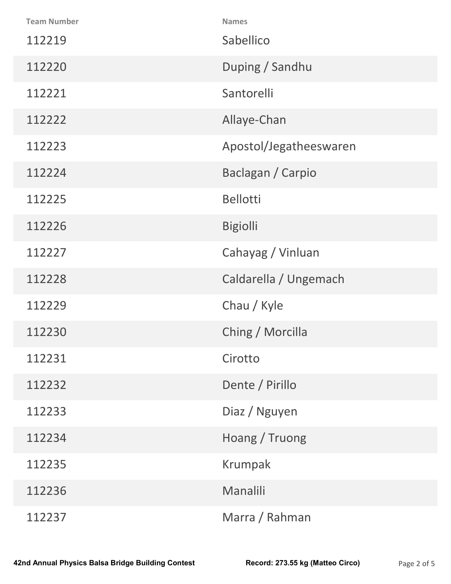| 112237             | Marra / Rahman         |  |
|--------------------|------------------------|--|
| 112236             | Manalili               |  |
| 112235             | Krumpak                |  |
| 112234             | Hoang / Truong         |  |
| 112233             | Diaz / Nguyen          |  |
| 112232             | Dente / Pirillo        |  |
| 112231             | Cirotto                |  |
| 112230             | Ching / Morcilla       |  |
| 112229             | Chau / Kyle            |  |
| 112228             | Caldarella / Ungemach  |  |
| 112227             | Cahayag / Vinluan      |  |
| 112226             | <b>Bigiolli</b>        |  |
| 112225             | <b>Bellotti</b>        |  |
| 112224             | Baclagan / Carpio      |  |
| 112223             | Apostol/Jegatheeswaren |  |
| 112222             | Allaye-Chan            |  |
| 112221             | Santorelli             |  |
| 112220             | Duping / Sandhu        |  |
| 112219             | Sabellico              |  |
| <b>Team Number</b> | <b>Names</b>           |  |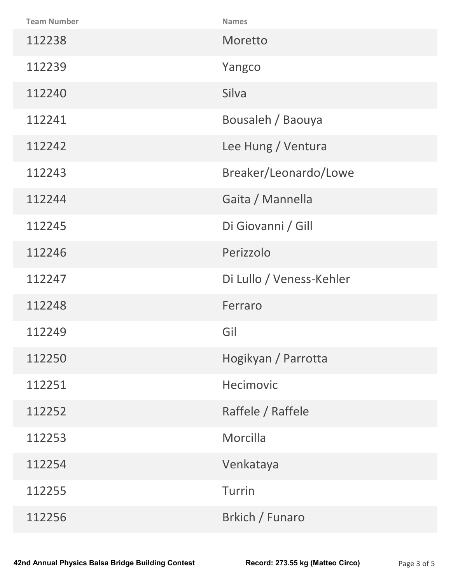| <b>Team Number</b>                               | <b>Names</b>                     |             |
|--------------------------------------------------|----------------------------------|-------------|
| 112238                                           | Moretto                          |             |
| 112239                                           | Yangco                           |             |
| 112240                                           | Silva                            |             |
| 112241                                           | Bousaleh / Baouya                |             |
| 112242                                           | Lee Hung / Ventura               |             |
| 112243                                           | Breaker/Leonardo/Lowe            |             |
| 112244                                           | Gaita / Mannella                 |             |
| 112245                                           | Di Giovanni / Gill               |             |
| 112246                                           | Perizzolo                        |             |
| 112247                                           | Di Lullo / Veness-Kehler         |             |
| 112248                                           | Ferraro                          |             |
| 112249                                           | Gil                              |             |
| 112250                                           | Hogikyan / Parrotta              |             |
| 112251                                           | Hecimovic                        |             |
| 112252                                           | Raffele / Raffele                |             |
| 112253                                           | Morcilla                         |             |
| 112254                                           | Venkataya                        |             |
| 112255                                           | Turrin                           |             |
| 112256                                           | Brkich / Funaro                  |             |
| Ind Annual Physics Balsa Bridge Building Contest | Record: 273.55 kg (Matteo Circo) | Page 3 of 5 |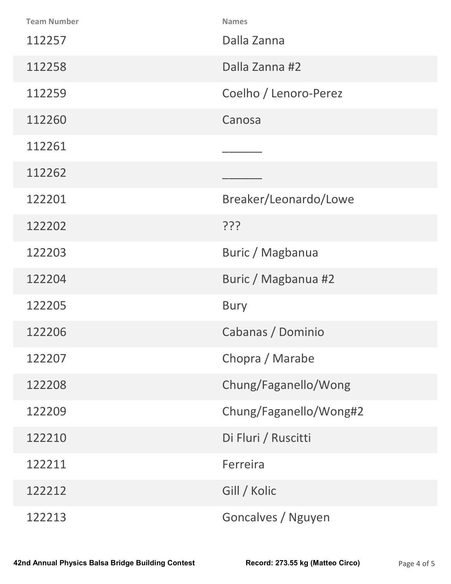| <b>Team Number</b>                                      | <b>Names</b>                     |             |
|---------------------------------------------------------|----------------------------------|-------------|
| 112257                                                  | Dalla Zanna                      |             |
| 112258                                                  | Dalla Zanna #2                   |             |
| 112259                                                  | Coelho / Lenoro-Perez            |             |
| 112260                                                  | Canosa                           |             |
| 112261                                                  |                                  |             |
| 112262                                                  |                                  |             |
| 122201                                                  | Breaker/Leonardo/Lowe            |             |
| 122202                                                  | ַיְרְי                           |             |
| 122203                                                  | Buric / Magbanua                 |             |
| 122204                                                  | Buric / Magbanua #2              |             |
| 122205                                                  | <b>Bury</b>                      |             |
| 122206                                                  | Cabanas / Dominio                |             |
| 122207                                                  | Chopra / Marabe                  |             |
| 122208                                                  | Chung/Faganello/Wong             |             |
| 122209                                                  | Chung/Faganello/Wong#2           |             |
| 122210                                                  | Di Fluri / Ruscitti              |             |
| 122211                                                  | Ferreira                         |             |
| 122212                                                  | Gill / Kolic                     |             |
| 122213                                                  | Goncalves / Nguyen               |             |
| <b>2nd Annual Physics Balsa Bridge Building Contest</b> | Record: 273.55 kg (Matteo Circo) | Page 4 of 5 |